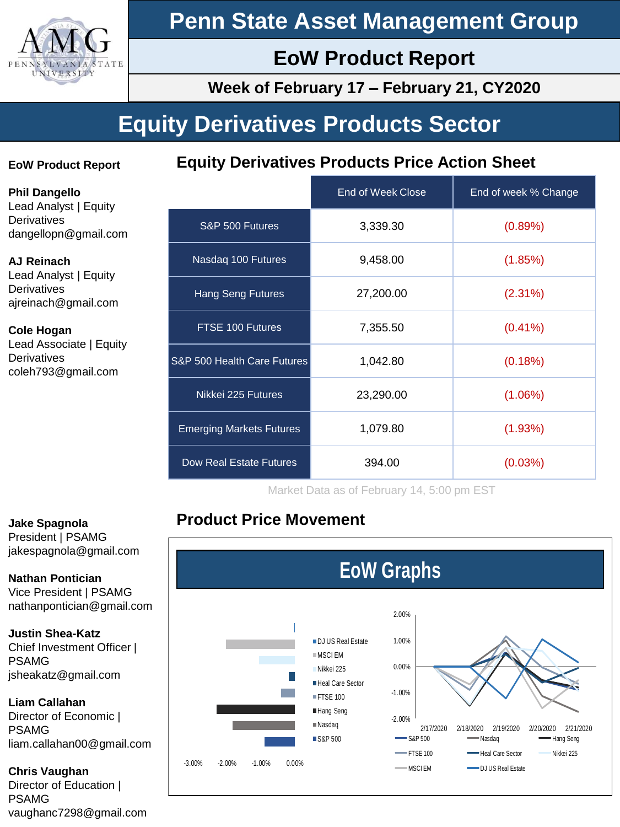

# **Penn State Asset Management Group**

# **EoW Product Report**

**Week of February 17 – February 21, CY2020**

# **Equity Derivatives Products Sector**

# **EoW Product Report**

**Equity Derivatives Products Price Action Sheet**

**Phil Dangello** Lead Analyst | Equity **Derivatives** dangellopn@gmail.com

### **AJ Reinach**

Lead Analyst | Equity **Derivatives** ajreinach@gmail.com

#### **Cole Hogan** Lead Associate | Equity **Derivatives** coleh793@gmail.com

|                                 | End of Week Close | End of week % Change |
|---------------------------------|-------------------|----------------------|
| S&P 500 Futures                 | 3,339.30          | (0.89%)              |
| Nasdaq 100 Futures              | 9,458.00          | (1.85%)              |
| <b>Hang Seng Futures</b>        | 27,200.00         | $(2.31\%)$           |
| FTSE 100 Futures                | 7,355.50          | $(0.41\%)$           |
| S&P 500 Health Care Futures     | 1,042.80          | (0.18%)              |
| Nikkei 225 Futures              | 23,290.00         | $(1.06\%)$           |
| <b>Emerging Markets Futures</b> | 1,079.80          | (1.93%)              |
| Dow Real Estate Futures         | 394.00            | (0.03%)              |

Market Data as of February 14, 5:00 pm EST

# **Product Price Movement**



# **Jake Spagnola**

President | PSAMG jakespagnola@gmail.com

**Nathan Pontician** Vice President | PSAMG nathanpontician@gmail.com

### **Justin Shea-Katz**

Chief Investment Officer | PSAMG jsheakatz@gmail.com

### **Liam Callahan**

Director of Economic | PSAMG liam.callahan00@gmail.com

### **Chris Vaughan**

Director of Education | PSAMG vaughanc7298@gmail.com